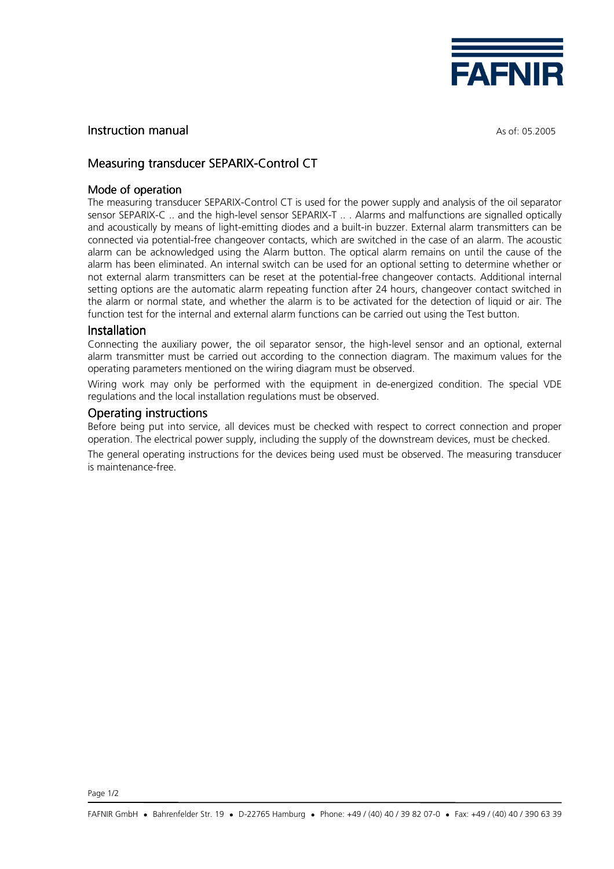

## **Instruction manual** As of: 05.2005

# Measuring transducer SEPARIX-Control CT

## Mode of operation

The measuring transducer SEPARIX-Control CT is used for the power supply and analysis of the oil separator sensor SEPARIX-C .. and the high-level sensor SEPARIX-T .. . Alarms and malfunctions are signalled optically and acoustically by means of light-emitting diodes and a built-in buzzer. External alarm transmitters can be connected via potential-free changeover contacts, which are switched in the case of an alarm. The acoustic alarm can be acknowledged using the Alarm button. The optical alarm remains on until the cause of the alarm has been eliminated. An internal switch can be used for an optional setting to determine whether or not external alarm transmitters can be reset at the potential-free changeover contacts. Additional internal setting options are the automatic alarm repeating function after 24 hours, changeover contact switched in the alarm or normal state, and whether the alarm is to be activated for the detection of liquid or air. The function test for the internal and external alarm functions can be carried out using the Test button.

#### Installation

Connecting the auxiliary power, the oil separator sensor, the high-level sensor and an optional, external alarm transmitter must be carried out according to the connection diagram. The maximum values for the operating parameters mentioned on the wiring diagram must be observed.

Wiring work may only be performed with the equipment in de-energized condition. The special VDE regulations and the local installation regulations must be observed.

## **Operating instructions**

Before being put into service, all devices must be checked with respect to correct connection and proper operation. The electrical power supply, including the supply of the downstream devices, must be checked.

The general operating instructions for the devices being used must be observed. The measuring transducer is maintenance-free.